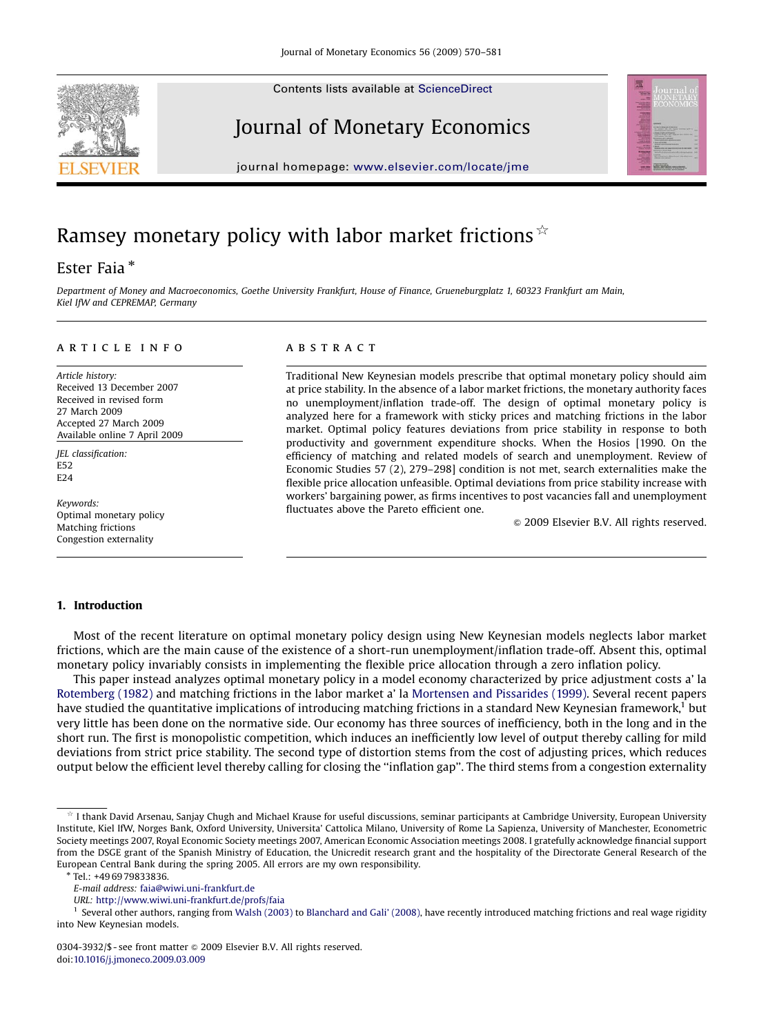Contents lists available at [ScienceDirect](www.sciencedirect.com/science/journal/monec)



journal homepage: <www.elsevier.com/locate/jme> Journal of Monetary Economics

## Ramsey monetary policy with labor market frictions  $\dot{\mathbb{R}}$

### Ester Faia<sup>\*</sup>

Department of Money and Macroeconomics, Goethe University Frankfurt, House of Finance, Grueneburgplatz 1, 60323 Frankfurt am Main, Kiel IfW and CEPREMAP, Germany

#### article info

Article history: Received 13 December 2007 Received in revised form 27 March 2009 Accepted 27 March 2009 Available online 7 April 2009

JEL classification: E52  $F24$ 

Keywords: Optimal monetary policy Matching frictions Congestion externality

#### **ABSTRACT**

Traditional New Keynesian models prescribe that optimal monetary policy should aim at price stability. In the absence of a labor market frictions, the monetary authority faces no unemployment/inflation trade-off. The design of optimal monetary policy is analyzed here for a framework with sticky prices and matching frictions in the labor market. Optimal policy features deviations from price stability in response to both productivity and government expenditure shocks. When the Hosios [1990. On the efficiency of matching and related models of search and unemployment. Review of Economic Studies 57 (2), 279–298] condition is not met, search externalities make the flexible price allocation unfeasible. Optimal deviations from price stability increase with workers' bargaining power, as firms incentives to post vacancies fall and unemployment fluctuates above the Pareto efficient one.

 $© 2009 Elsevier B.V. All rights reserved.$ 

### 1. Introduction

Most of the recent literature on optimal monetary policy design using New Keynesian models neglects labor market frictions, which are the main cause of the existence of a short-run unemployment/inflation trade-off. Absent this, optimal monetary policy invariably consists in implementing the flexible price allocation through a zero inflation policy.

This paper instead analyzes optimal monetary policy in a model economy characterized by price adjustment costs a' la [Rotemberg \(1982\)](#page--1-0) and matching frictions in the labor market a' la [Mortensen and Pissarides \(1999\).](#page--1-0) Several recent papers have studied the quantitative implications of introducing matching frictions in a standard New Keynesian framework,<sup>1</sup> but very little has been done on the normative side. Our economy has three sources of inefficiency, both in the long and in the short run. The first is monopolistic competition, which induces an inefficiently low level of output thereby calling for mild deviations from strict price stability. The second type of distortion stems from the cost of adjusting prices, which reduces output below the efficient level thereby calling for closing the ''inflation gap''. The third stems from a congestion externality

Tel.: +49 69 79833836.

 $*$  I thank David Arsenau, Sanjay Chugh and Michael Krause for useful discussions, seminar participants at Cambridge University, European University Institute, Kiel IfW, Norges Bank, Oxford University, Universita' Cattolica Milano, University of Rome La Sapienza, University of Manchester, Econometric Society meetings 2007, Royal Economic Society meetings 2007, American Economic Association meetings 2008. I gratefully acknowledge financial support from the DSGE grant of the Spanish Ministry of Education, the Unicredit research grant and the hospitality of the Directorate General Research of the European Central Bank during the spring 2005. All errors are my own responsibility.

E-mail address: [faia@wiwi.uni-frankfurt.de](mailto:faia@wiwi.uni-frankfurt.de)

URL: <http://www.wiwi.uni-frankfurt.de/profs/faia>

<sup>&</sup>lt;sup>1</sup> Several other authors, ranging from [Walsh \(2003\)](#page--1-0) to [Blanchard and Gali' \(2008\)](#page--1-0), have recently introduced matching frictions and real wage rigidity into New Keynesian models.

<sup>0304-3932/\$ -</sup> see front matter  $\circ$  2009 Elsevier B.V. All rights reserved. doi:[10.1016/j.jmoneco.2009.03.009](dx.doi.org/10.1016/j.jmoneco.2009.03.009)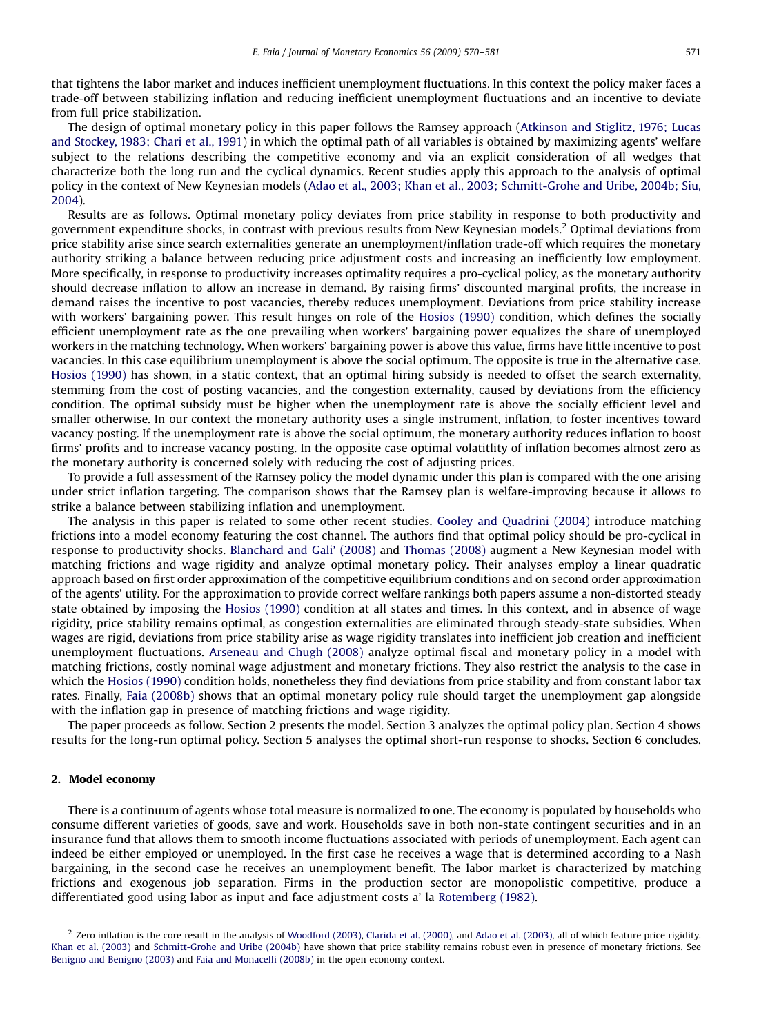that tightens the labor market and induces inefficient unemployment fluctuations. In this context the policy maker faces a trade-off between stabilizing inflation and reducing inefficient unemployment fluctuations and an incentive to deviate from full price stabilization.

The design of optimal monetary policy in this paper follows the Ramsey approach [\(Atkinson and Stiglitz, 1976; Lucas](#page--1-0) [and Stockey, 1983; Chari et al., 1991](#page--1-0)) in which the optimal path of all variables is obtained by maximizing agents' welfare subject to the relations describing the competitive economy and via an explicit consideration of all wedges that characterize both the long run and the cyclical dynamics. Recent studies apply this approach to the analysis of optimal policy in the context of New Keynesian models [\(Adao et al., 2003; Khan et al., 2003; Schmitt-Grohe and Uribe, 2004b; Siu,](#page--1-0) [2004](#page--1-0)).

Results are as follows. Optimal monetary policy deviates from price stability in response to both productivity and government expenditure shocks, in contrast with previous results from New Keynesian models.<sup>2</sup> Optimal deviations from price stability arise since search externalities generate an unemployment/inflation trade-off which requires the monetary authority striking a balance between reducing price adjustment costs and increasing an inefficiently low employment. More specifically, in response to productivity increases optimality requires a pro-cyclical policy, as the monetary authority should decrease inflation to allow an increase in demand. By raising firms' discounted marginal profits, the increase in demand raises the incentive to post vacancies, thereby reduces unemployment. Deviations from price stability increase with workers' bargaining power. This result hinges on role of the [Hosios \(1990\)](#page--1-0) condition, which defines the socially efficient unemployment rate as the one prevailing when workers' bargaining power equalizes the share of unemployed workers in the matching technology. When workers' bargaining power is above this value, firms have little incentive to post vacancies. In this case equilibrium unemployment is above the social optimum. The opposite is true in the alternative case. [Hosios \(1990\)](#page--1-0) has shown, in a static context, that an optimal hiring subsidy is needed to offset the search externality, stemming from the cost of posting vacancies, and the congestion externality, caused by deviations from the efficiency condition. The optimal subsidy must be higher when the unemployment rate is above the socially efficient level and smaller otherwise. In our context the monetary authority uses a single instrument, inflation, to foster incentives toward vacancy posting. If the unemployment rate is above the social optimum, the monetary authority reduces inflation to boost firms' profits and to increase vacancy posting. In the opposite case optimal volatitlity of inflation becomes almost zero as the monetary authority is concerned solely with reducing the cost of adjusting prices.

To provide a full assessment of the Ramsey policy the model dynamic under this plan is compared with the one arising under strict inflation targeting. The comparison shows that the Ramsey plan is welfare-improving because it allows to strike a balance between stabilizing inflation and unemployment.

The analysis in this paper is related to some other recent studies. [Cooley and Quadrini \(2004\)](#page--1-0) introduce matching frictions into a model economy featuring the cost channel. The authors find that optimal policy should be pro-cyclical in response to productivity shocks. [Blanchard and Gali' \(2008\)](#page--1-0) and [Thomas \(2008\)](#page--1-0) augment a New Keynesian model with matching frictions and wage rigidity and analyze optimal monetary policy. Their analyses employ a linear quadratic approach based on first order approximation of the competitive equilibrium conditions and on second order approximation of the agents' utility. For the approximation to provide correct welfare rankings both papers assume a non-distorted steady state obtained by imposing the [Hosios \(1990\)](#page--1-0) condition at all states and times. In this context, and in absence of wage rigidity, price stability remains optimal, as congestion externalities are eliminated through steady-state subsidies. When wages are rigid, deviations from price stability arise as wage rigidity translates into inefficient job creation and inefficient unemployment fluctuations. [Arseneau and Chugh \(2008\)](#page--1-0) analyze optimal fiscal and monetary policy in a model with matching frictions, costly nominal wage adjustment and monetary frictions. They also restrict the analysis to the case in which the [Hosios \(1990\)](#page--1-0) condition holds, nonetheless they find deviations from price stability and from constant labor tax rates. Finally, [Faia \(2008b\)](#page--1-0) shows that an optimal monetary policy rule should target the unemployment gap alongside with the inflation gap in presence of matching frictions and wage rigidity.

The paper proceeds as follow. Section 2 presents the model. Section 3 analyzes the optimal policy plan. Section 4 shows results for the long-run optimal policy. Section 5 analyses the optimal short-run response to shocks. Section 6 concludes.

#### 2. Model economy

There is a continuum of agents whose total measure is normalized to one. The economy is populated by households who consume different varieties of goods, save and work. Households save in both non-state contingent securities and in an insurance fund that allows them to smooth income fluctuations associated with periods of unemployment. Each agent can indeed be either employed or unemployed. In the first case he receives a wage that is determined according to a Nash bargaining, in the second case he receives an unemployment benefit. The labor market is characterized by matching frictions and exogenous job separation. Firms in the production sector are monopolistic competitive, produce a differentiated good using labor as input and face adjustment costs a' la [Rotemberg \(1982\).](#page--1-0)

 $2$  Zero inflation is the core result in the analysis of [Woodford \(2003\)](#page--1-0), [Clarida et al. \(2000\)](#page--1-0), and [Adao et al. \(2003\)](#page--1-0), all of which feature price rigidity. [Khan et al. \(2003\)](#page--1-0) and [Schmitt-Grohe and Uribe \(2004b\)](#page--1-0) have shown that price stability remains robust even in presence of monetary frictions. See [Benigno and Benigno \(2003\)](#page--1-0) and [Faia and Monacelli \(2008b\)](#page--1-0) in the open economy context.